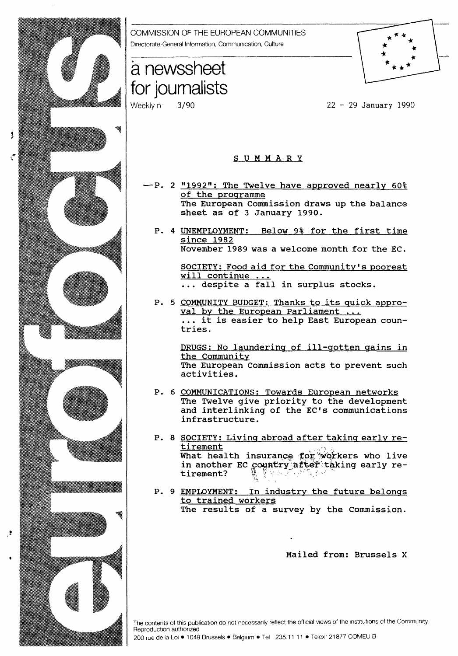

- The European Commission draws up the balance
- P. 4 UNEMPLOYMENT: Below 9% for the first time November 1989 was a welcome month for the EC.

SOCIETY: Food aid for the Community's poorest<br>will continue ... ... despite a fall in surplus stocks.

P. 5 COMMUNITY BUDGET: Thanks to its quick appro-<br>yal by the European Parliament ... ... it is easier to help East European coun-

> DRUGS: No laundering of ill-gotten gains in The European Commission acts to prevent such

- P. 6 COMMUNICATIONS: Towards European networks The Twelve give priority to the development and interlinking of the EC's communications
- P. 8 SOCIETY: Living abroad after taking early re-What health insurance for *'*workers who live in another EC country after taking early re-<br>tirement?
- P. 9 EMPLOYMENT: In industry the future belongs The results of a survey by the Commission.

Mailed from: Brussels X

The contents of this publication do not necessarily reflect the official views of the institutions of the Community. Reproduction authorized

200 rue de la Loi • 1049 Brussels • Belgium • Tel 235.11 11 • Telex: 21877 COMEU B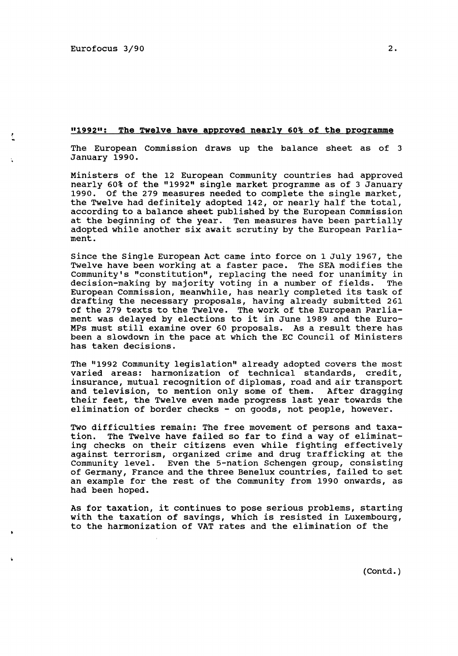### <sup>11</sup> 199211 : The Twelve have approved nearly 60% of the programme

The European Commission draws up the balance sheet as of 3 January 1990.

Ministers of the 12 European Community countries had approved nearly 60% of the "1992" single market programme as of 3 January 1990. Of the 279 measures needed to complete the single market, the Twelve had definitely adopted 142, or nearly half the total, according to a balance sheet published by the European Commission at the beginning of the year. Ten measures have been partially adopted while another six await scrutiny by the European Parliament.

Since the Single European Act came into force on 1 July 1967, the Twelve have been working at a faster pace. The SEA modifies the Community's "constitution", replacing the need for unanimity in decision-making by majority voting in a number of fields. The decision-making by majority voting in a number of fields. European Commission, meanwhile, has nearly completed its task of drafting the necessary proposals, having already submitted 261 of the 279 texts to the Twelve. The work of the European Parliament was delayed by elections to it in June 1989 and the Euro-MPs must still examine over 60 proposals. As a result there has been a slowdown in the pace at which the EC Council of Ministers has taken decisions.

The "1992 Community legislation" already adopted covers the most varied areas: harmonization of technical standards, credit, insurance, mutual recognition of diplomas, road and air transport and television, to mention only some of them. After dragging their feet, the Twelve even made progress last year towards the elimination of border checks - on goods, not people, however.

Two difficulties remain: The free movement of persons and taxation. The Twelve have failed so far to find a way of eliminating checks on their citizens even while fighting effectively against terrorism, organized crime and drug trafficking at the Community level. Even the 5-nation Schengen group, consisting of Germany, France and the three Benelux countries, failed to set an example for the rest of the Community from 1990 onwards, as had been hoped.

As for taxation, it continues to pose serious problems, starting with the taxation of savings, which is resisted in Luxembourg, to the harmonization of VAT rates and the elimination of the

(Contd.)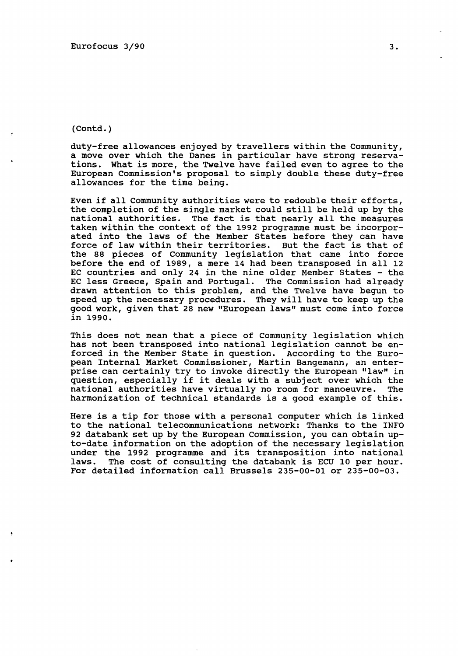### (Contd.)

duty-free allowances enjoyed by travellers within the Community, a move over which the Danes in particular have strong reservations. What is more, the Twelve have failed even to agree to the European Commission's proposal to simply double these duty-free allowances for the time being.

Even if all Community authorities were to redouble their efforts, the completion of the single market could still be held up by the national authorities. The fact is that nearly all the measures taken within the context of the 1992 programme must be incorporated into the laws of the Member States before they can have force of law within their territories. But the fact is that of the 88 pieces of Community legislation that came into force before the end of 1989, a mere 14 had been transposed in all 12 EC countries and only 24 in the nine older Member States - the EC less Greece, Spain and Portugal. The commission had already drawn attention to this problem, and the Twelve have begun to speed up the necessary procedures. They will have to keep up the good work, given that 28 new "European laws" must come into force in 1990.

This does not mean that a piece of Community legislation which has not been transposed into national legislation cannot be enforced in the Member State in question. According to the European Internal Market Commissioner, Martin Bangemann, an enterprise can certainly try to invoke directly the European "law" in question, especially if it deals with a subject over which the national authorities have virtually no room for manoeuvre. The harmonization of technical standards is a good example of this.

Here is a tip for those with a personal computer which is linked to the national telecommunications network: Thanks to the INFO 92 databank set up by the European Commission, you can obtain upto-date information on the adoption of the necessary legislation under the 1992 programme and its transposition into national The cost of consulting the databank is ECU 10 per hour. For detailed information call Brussels 235-00-01 or 235-00-03.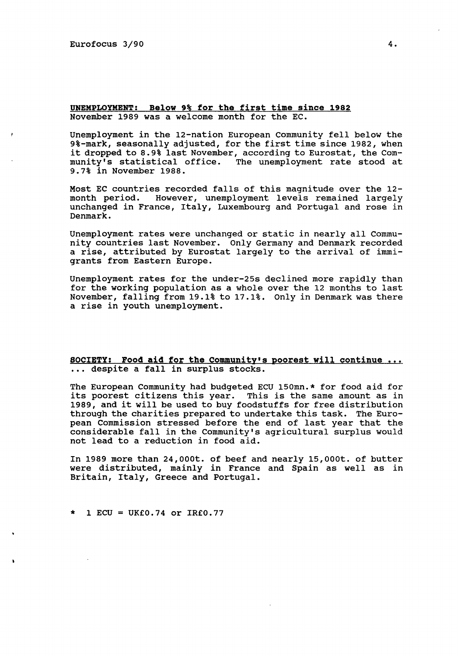### UNEMPLOYMENT: Below 9% for the first time since 1982 November 1989 was a welcome month for the EC.

Unemployment in the 12-nation European Community fell below the 9%-mark, seasonally adjusted, for the first time since 1982, when it dropped to 8.9% last November, according to Eurostat, the Community's statistical office. The unemployment rate stood at 9.7% in November 1988.

Most EC countries recorded falls of this magnitude over the 12 month period. However, unemployment levels remained largely unchanged in France, Italy, Luxembourg and Portugal and rose in Denmark.

Unemployment rates were unchanged or static in nearly all Community countries last November. Only Germany and Denmark recorded a rise, attributed by Eurostat largely to the arrival of immigrants from Eastern Europe.

Unemployment rates for the under-25s declined more rapidly than for the working population as a whole over the 12 months to last November, falling from 19.1% to 17.1%. Only in Denmark was there a rise in youth unemployment.

### SOCIETY: Food aid for the Community's poorest will continue ... ... despite a fall in surplus stocks.

The European Community had budgeted ECU 150mn.\* for food aid for its poorest citizens this year. This is the same amount as in 1989, and it will be used to buy foodstuffs for free distribution through the charities prepared to undertake this task. The European Commission stressed before the end of last year that the considerable fall in the Community's agricultural surplus would not lead to a reduction in food aid.

In 1989 more than 24,000t. of beef and nearly 15,000t. of butter were distributed, mainly in France and Spain as well as in Britain, Italy, Greece and Portugal.

\* 1 ECU = UK£0.74 or IR£0.77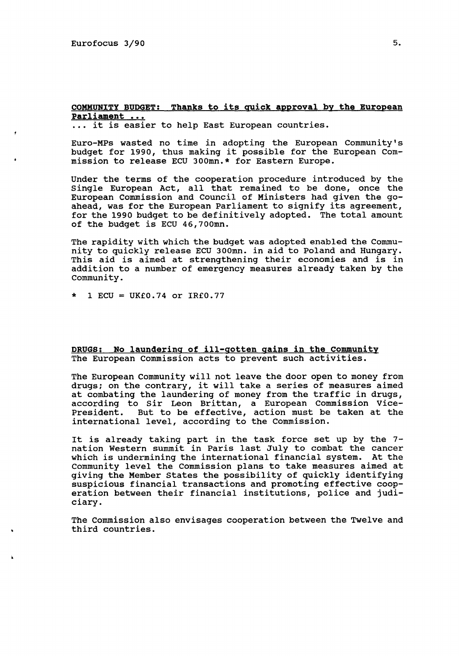# COMMUNITY BUDGET: Thanks to its quick approval by the European Parliament ...

... it is easier to help East European countries.

Euro-MPs wasted no time in adopting the European Community's budget for 1990, thus making it possible for the European Commission to release ECU 300mn.\* for Eastern Europe.

Under the terms of the cooperation procedure introduced by the Single European Act, all that remained to be done, once the European Commission and Council of Ministers had given the goahead, was for the European Parliament to signify its agreement, for the 1990 budget to be definitively adopted. The total amount of the budget is ECU 46,700mn.

The rapidity with which the budget was adopted enabled the Community to quickly release ECU 300mn. in aid to Poland and Hungary. This aid is aimed at strengthening their economies and is in addition to a number of emergency measures already taken by the Community.

 $1$  ECU = UK£0.74 or IR£0.77

DRUGS: No laundering of ill-gotten gains in the community The European Commission acts to prevent such activities.

The European Community will not leave the door open to money from drugs; on the contrary, it will take a series of measures aimed at combating the laundering of money from the traffic in drugs, at compacing the laundering of money from the cruitic in drugs,<br>according to Sir Leon Brittan, a European Commission Vice-President. But to be effective, action must be taken at the international level, according to the Commission.

It is already taking part in the task force set up by the 7 nation Western summit in Paris last July to combat the cancer which is undermining the international financial system. At the Community level the Commission plans to take measures aimed at giving the Member States the possibility of quickly identifying suspicious financial transactions and promoting effective cooperation between their financial institutions, police and judiciary.

The Commission also envisages cooperation between the Twelve and third countries.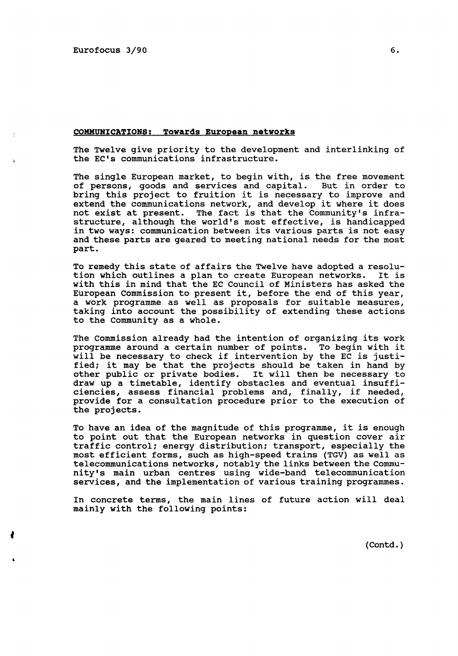#### COMMUNICATIONS: Towards European networks

The Twelve give priority to the development and interlinking of the EC's communications infrastructure.

The single European market, to begin with, is the free movement<br>of persons, goods and services and capital. But in order to of persons, goods and services and capital. bring this project to fruition it is necessary to improve and extend the communications network, and develop it where it does not exist at present. The fact is that the Community's infrastructure, although the world's most effective, is handicapped in two ways: communication between its various parts is not easy and these parts are geared to meeting national needs for the most part.

To remedy this state of affairs the Twelve have adopted a resolution which outlines a plan to create European networks. It is with this in mind that the EC Council of Ministers has asked the European Commission to present it, before the end of this year, a work programme as well as proposals for suitable measures, taking into account the possibility of extending these actions to the Community as a whole.

The Commission already had the intention of organizing its work programme around a certain number of points. To begin with it will be necessary to check if intervention by the EC is justified; it may be that the projects should be taken in hand by other public or private bodies. It will then be necessary to draw up a timetable, identify obstacles and eventual insufficiencies, assess financial problems and, finally, if needed, provide for a consultation procedure prior to the execution of the projects.

To have an idea of the magnitude of this programme, it is enough to point out that the European networks in question cover air traffic control; energy distribution; transport, especially the most efficient forms, such as high-speed trains (TGV) as well as telecommunications networks, notably the links between the Community's main urban centres using wide-band telecommunication services, and the implementation of various training programmes.

In concrete terms, the main lines of future action will deal mainly with the following points:

(Contd.)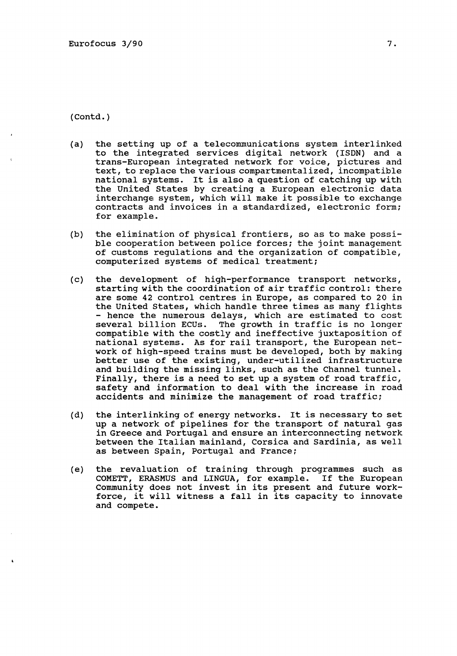(Contd.)

- (a) the setting up of a telecommunications system interlinked to the integrated services digital network (ISDN) and a trans-European integrated network for voice, pictures and text, to replace the various compartmentalized, incompatible national systems. It is also a question of catching up with the United States by creating a European electronic data interchange system, which will make it possible to exchange contracts and invoices in a standardized, electronic form; for example.
- (b) the elimination of physical frontiers, so as to make possible cooperation between police forces; the joint management of customs regulations and the organization of compatible, computerized systems of medical treatment;
- (c) the development of high-performance transport networks, starting with the coordination of air traffic control: there are some 42 control centres in Europe, as compared to 20 in the United States, which handle three times as many flights<br>- hence the numerous delays, which are estimated to cost<br>several billion ECUs. The growth in traffic is no longer The growth in traffic is no longer compatible with the costly and ineffective juxtaposition of national systems. As for rail transport, the European network of high-speed trains must be developed, both by making better use of the existing, under-utilized infrastructure and building the missing links, such as the Channel tunnel. Finally, there is a need to set up a system of road traffic, safety and information to deal with the increase in road accidents and minimize the management of road traffic;
- (d) the interlinking of energy networks. It is necessary to set up a network of pipelines for the transport of natural gas in Greece and Portugal and ensure an interconnecting network between the Italian mainland, Corsica and Sardinia, as well as between Spain, Portugal and France;
- (e) the revaluation of training through programmes such as COMETT, ERASMUS and LINGUA, for example. If the European Community does not invest in its present and future workforce, it will witness a fall in its capacity to innovate and compete.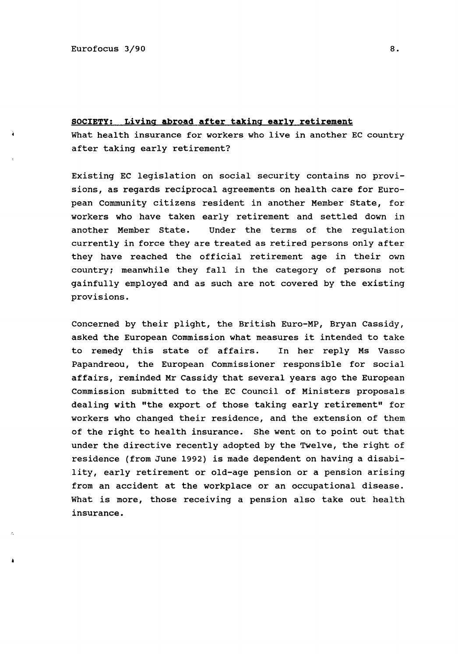## SOCIETY: Living abroad after taking early retirement

What health insurance for workers who live in another EC country after taking early retirement?

Existing EC legislation on social security contains no provisions, as regards reciprocal agreements on health care for European Community citizens resident in another Member State, for workers who have taken early retirement and settled down in another Member State. Under the terms of the regulation currently in force they are treated as retired persons only after they have reached the official retirement age in their own country; meanwhile they fall in the category of persons not gainfully employed and as such are not covered by the existing provisions.

Concerned by their plight, the British Euro-MP, Bryan Cassidy, asked the European Commission what measures it intended to take to remedy this state of affairs. In her reply Ms Vasso Papandreou, the European Commissioner responsible for social affairs, reminded Mr Cassidy that several years ago the European Commission submitted to the EC Council of Ministers proposals dealing with "the export of those taking early retirement" for workers who changed their residence, and the extension of them of the right to health insurance. She went on to point out that under the directive recently adopted by the Twelve, the right of residence (from June 1992) is made dependent on having a disability, early retirement or old-age pension or a pension arising from an accident at the workplace or an occupational disease. What is more, those receiving a pension also take out health insurance.